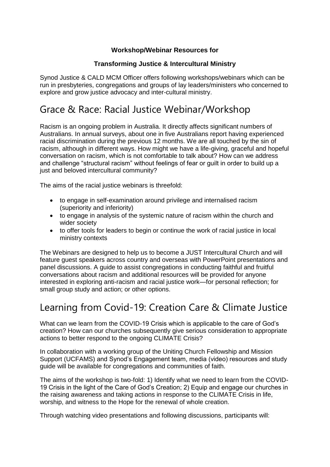#### **Workshop/Webinar Resources for**

#### **Transforming Justice & Intercultural Ministry**

Synod Justice & CALD MCM Officer offers following workshops/webinars which can be run in presbyteries, congregations and groups of lay leaders/ministers who concerned to explore and grow justice advocacy and inter-cultural ministry.

### Grace & Race: Racial Justice Webinar/Workshop

Racism is an ongoing problem in Australia. It directly affects significant numbers of Australians. In annual surveys, about one in five Australians report having experienced racial discrimination during the previous 12 months. We are all touched by the sin of racism, although in different ways. How might we have a life-giving, graceful and hopeful conversation on racism, which is not comfortable to talk about? How can we address and challenge "structural racism" without feelings of fear or guilt in order to build up a just and beloved intercultural community?

The aims of the racial justice webinars is threefold:

- to engage in self-examination around privilege and internalised racism (superiority and inferiority)
- to engage in analysis of the systemic nature of racism within the church and wider society
- to offer tools for leaders to begin or continue the work of racial justice in local ministry contexts

The Webinars are designed to help us to become a JUST Intercultural Church and will feature guest speakers across country and overseas with PowerPoint presentations and panel discussions. A guide to assist congregations in conducting faithful and fruitful conversations about racism and additional resources will be provided for anyone interested in exploring anti-racism and racial justice work—for personal reflection; for small group study and action; or other options.

#### Learning from Covid-19: Creation Care & Climate Justice

What can we learn from the COVID-19 Crisis which is applicable to the care of God's creation? How can our churches subsequently give serious consideration to appropriate actions to better respond to the ongoing CLIMATE Crisis?

In collaboration with a working group of the Uniting Church Fellowship and Mission Support (UCFAMS) and Synod's Engagement team, media (video) resources and study guide will be available for congregations and communities of faith.

The aims of the workshop is two-fold: 1) Identify what we need to learn from the COVID-19 Crisis in the light of the Care of God's Creation; 2) Equip and engage our churches in the raising awareness and taking actions in response to the CLIMATE Crisis in life, worship, and witness to the Hope for the renewal of whole creation.

Through watching video presentations and following discussions, participants will: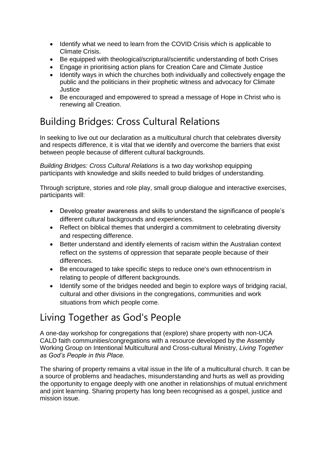- Identify what we need to learn from the COVID Crisis which is applicable to Climate Crisis.
- Be equipped with theological/scriptural/scientific understanding of both Crises
- Engage in prioritising action plans for Creation Care and Climate Justice
- Identify ways in which the churches both individually and collectively engage the public and the politicians in their prophetic witness and advocacy for Climate Justice
- Be encouraged and empowered to spread a message of Hope in Christ who is renewing all Creation.

# Building Bridges: Cross Cultural Relations

In seeking to live out our declaration as a multicultural church that celebrates diversity and respects difference, it is vital that we identify and overcome the barriers that exist between people because of different cultural backgrounds.

*Building Bridges: Cross Cultural Relations* is a two day workshop equipping participants with knowledge and skills needed to build bridges of understanding.

Through scripture, stories and role play, small group dialogue and interactive exercises, participants will:

- Develop greater awareness and skills to understand the significance of people's different cultural backgrounds and experiences.
- Reflect on biblical themes that undergird a commitment to celebrating diversity and respecting difference.
- Better understand and identify elements of racism within the Australian context reflect on the systems of oppression that separate people because of their differences.
- Be encouraged to take specific steps to reduce one's own ethnocentrism in relating to people of different backgrounds.
- Identify some of the bridges needed and begin to explore ways of bridging racial, cultural and other divisions in the congregations, communities and work situations from which people come.

# Living Together as God's People

A one-day workshop for congregations that (explore) share property with non-UCA CALD faith communities/congregations with a resource developed by the Assembly Working Group on Intentional Multicultural and Cross-cultural Ministry, *Living Together as God's People in this Place.*

The sharing of property remains a vital issue in the life of a multicultural church. It can be a source of problems and headaches, misunderstanding and hurts as well as providing the opportunity to engage deeply with one another in relationships of mutual enrichment and joint learning. Sharing property has long been recognised as a gospel, justice and mission issue.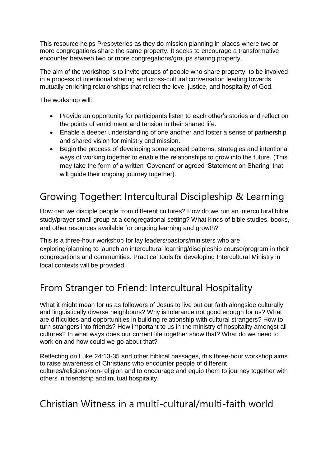This resource helps Presbyteries as they do mission planning in places where two or more congregations share the same property. It seeks to encourage a transformative encounter between two or more congregations/groups sharing property.

The aim of the workshop is to invite groups of people who share property, to be involved in a process of intentional sharing and cross-cultural conversation leading towards mutually enriching relationships that reflect the love, justice, and hospitality of God.

The workshop will:

- Provide an opportunity for participants listen to each other's stories and reflect on the points of enrichment and tension in their shared life.
- Enable a deeper understanding of one another and foster a sense of partnership and shared vision for ministry and mission.
- Begin the process of developing some agreed patterns, strategies and intentional ways of working together to enable the relationships to grow into the future. (This may take the form of a written 'Covenant' or agreed 'Statement on Sharing' that will guide their ongoing journey together).

# Growing Together: Intercultural Discipleship & Learning

How can we disciple people from different cultures? How do we run an intercultural bible study/prayer small group at a congregational setting? What kinds of bible studies, books, and other resources available for ongoing learning and growth?

This is a three-hour workshop for lay leaders/pastors/ministers who are exploring/planning to launch an intercultural learning/discipleship course/program in their congregations and communities. Practical tools for developing Intercultural Ministry in local contexts will be provided.

## From Stranger to Friend: Intercultural Hospitality

What it might mean for us as followers of Jesus to live out our faith alongside culturally and linguistically diverse neighbours? Why is tolerance not good enough for us? What are difficulties and opportunities in building relationship with cultural strangers? How to turn strangers into friends? How important to us in the ministry of hospitality amongst all cultures? In what ways does our current life together show that? What do we need to work on and how could we go about that?

Reflecting on Luke 24:13-35 and other biblical passages, this three-hour workshop aims to raise awareness of Christians who encounter people of different cultures/religions/non-religion and to encourage and equip them to journey together with others in friendship and mutual hospitality.

## Christian Witness in a multi-cultural/multi-faith world